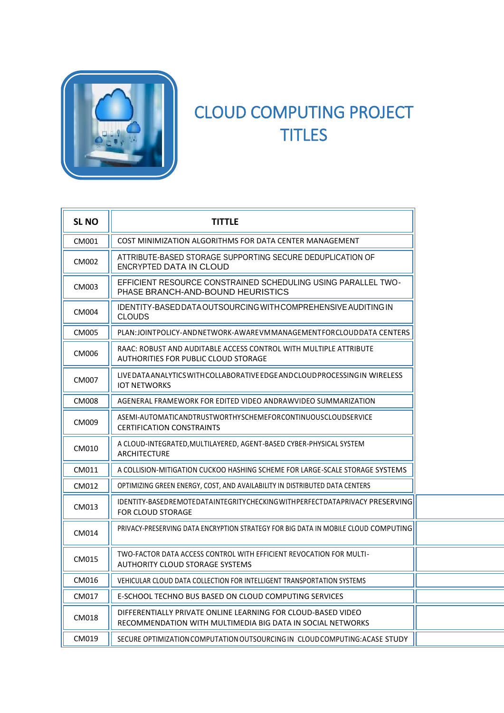

## CLOUD COMPUTING PROJECT **TITLES**

| <b>SL NO</b> | <b>TITTLE</b>                                                                                                              |
|--------------|----------------------------------------------------------------------------------------------------------------------------|
| CM001        | COST MINIMIZATION ALGORITHMS FOR DATA CENTER MANAGEMENT                                                                    |
| <b>CM002</b> | ATTRIBUTE-BASED STORAGE SUPPORTING SECURE DEDUPLICATION OF<br>ENCRYPTED DATA IN CLOUD                                      |
| CM003        | EFFICIENT RESOURCE CONSTRAINED SCHEDULING USING PARALLEL TWO-<br>PHASE BRANCH-AND-BOUND HEURISTICS                         |
| <b>CM004</b> | IDENTITY-BASED DATA OUTSOURCING WITH COMPREHENSIVE AUDITING IN<br><b>CLOUDS</b>                                            |
| <b>CM005</b> | PLAN:JOINTPOLICY-ANDNETWORK-AWAREVMMANAGEMENTFORCLOUDDATA CENTERS                                                          |
| CM006        | RAAC: ROBUST AND AUDITABLE ACCESS CONTROL WITH MULTIPLE ATTRIBUTE<br>AUTHORITIES FOR PUBLIC CLOUD STORAGE                  |
| CM007        | LIVEDATA ANALYTICS WITH COLLABORATIVE EDGE AND CLOUD PROCESSING IN WIRELESS<br><b>IOT NETWORKS</b>                         |
| <b>CM008</b> | AGENERAL FRAMEWORK FOR EDITED VIDEO ANDRAWVIDEO SUMMARIZATION                                                              |
| CM009        | ASEMI-AUTOMATICANDTRUSTWORTHYSCHEMEFORCONTINUOUSCLOUDSERVICE<br><b>CERTIFICATION CONSTRAINTS</b>                           |
| CM010        | A CLOUD-INTEGRATED, MULTILAYERED, AGENT-BASED CYBER-PHYSICAL SYSTEM<br>ARCHITECTURE                                        |
| CM011        | A COLLISION-MITIGATION CUCKOO HASHING SCHEME FOR LARGE-SCALE STORAGE SYSTEMS                                               |
| CM012        | OPTIMIZING GREEN ENERGY, COST, AND AVAILABILITY IN DISTRIBUTED DATA CENTERS                                                |
| CM013        | IDENTITY-BASEDREMOTEDATAINTEGRITYCHECKINGWITHPERFECTDATAPRIVACY PRESERVING<br>FOR CLOUD STORAGE                            |
| CM014        | <b>PRIVACY-PRESERVING DATA ENCRYPTION STRATEGY FOR BIG DATA IN MOBILE CLOUD COMPUTING</b>                                  |
| CM015        | TWO-FACTOR DATA ACCESS CONTROL WITH EFFICIENT REVOCATION FOR MULTI-<br>AUTHORITY CLOUD STORAGE SYSTEMS                     |
| CM016        | VEHICULAR CLOUD DATA COLLECTION FOR INTELLIGENT TRANSPORTATION SYSTEMS                                                     |
| CM017        | E-SCHOOL TECHNO BUS BASED ON CLOUD COMPUTING SERVICES                                                                      |
| CM018        | DIFFERENTIALLY PRIVATE ONLINE LEARNING FOR CLOUD-BASED VIDEO<br>RECOMMENDATION WITH MULTIMEDIA BIG DATA IN SOCIAL NETWORKS |
| CM019        | SECURE OPTIMIZATION COMPUTATION OUTSOURCING IN CLOUD COMPUTING: ACASE STUDY                                                |